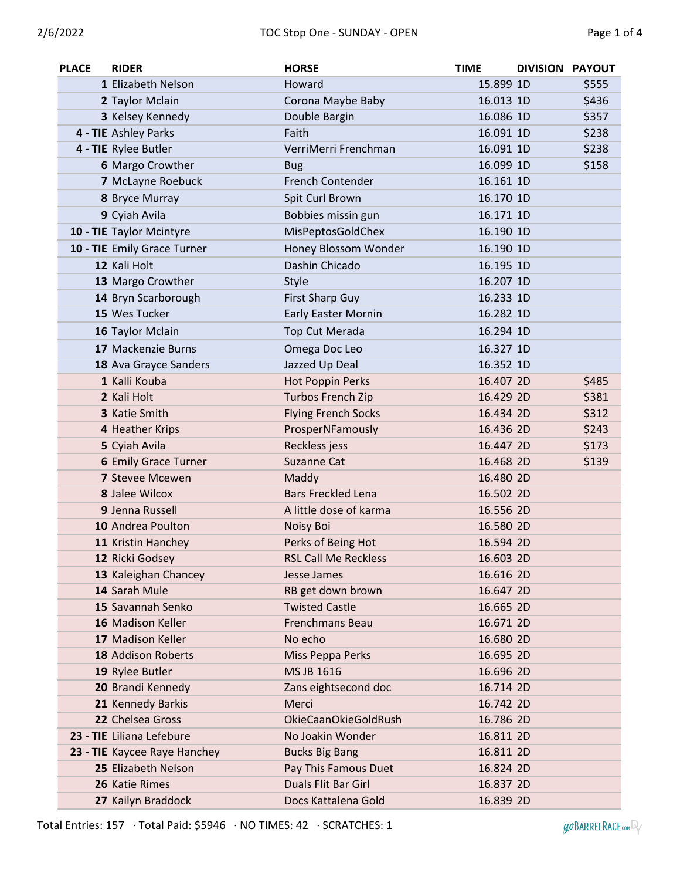| <b>PLACE</b> | <b>RIDER</b>                 | <b>HORSE</b>                | <b>TIME</b> | <b>DIVISION PAYOUT</b> |       |
|--------------|------------------------------|-----------------------------|-------------|------------------------|-------|
|              | 1 Elizabeth Nelson           | Howard                      | 15.899 1D   |                        | \$555 |
|              | 2 Taylor Mclain              | Corona Maybe Baby           | 16.013 1D   |                        | \$436 |
|              | 3 Kelsey Kennedy             | Double Bargin               | 16.086 1D   |                        | \$357 |
|              | 4 - TIE Ashley Parks         | Faith                       | 16.091 1D   |                        | \$238 |
|              | 4 - TIE Rylee Butler         | VerriMerri Frenchman        | 16.091 1D   |                        | \$238 |
|              | 6 Margo Crowther             | <b>Bug</b>                  | 16.099 1D   |                        | \$158 |
|              | 7 McLayne Roebuck            | <b>French Contender</b>     | 16.161 1D   |                        |       |
|              | 8 Bryce Murray               | Spit Curl Brown             | 16.170 1D   |                        |       |
|              | 9 Cyiah Avila                | Bobbies missin gun          | 16.171 1D   |                        |       |
|              | 10 - TIE Taylor Mcintyre     | MisPeptosGoldChex           | 16.190 1D   |                        |       |
|              | 10 - TIE Emily Grace Turner  | Honey Blossom Wonder        | 16.190 1D   |                        |       |
|              | 12 Kali Holt                 | Dashin Chicado              | 16.195 1D   |                        |       |
|              | 13 Margo Crowther            | Style                       | 16.207 1D   |                        |       |
|              | 14 Bryn Scarborough          | <b>First Sharp Guy</b>      | 16.233 1D   |                        |       |
|              | 15 Wes Tucker                | <b>Early Easter Mornin</b>  | 16.282 1D   |                        |       |
|              | 16 Taylor Mclain             | Top Cut Merada              | 16.294 1D   |                        |       |
|              | 17 Mackenzie Burns           | Omega Doc Leo               | 16.327 1D   |                        |       |
|              | 18 Ava Grayce Sanders        | Jazzed Up Deal              | 16.352 1D   |                        |       |
|              | 1 Kalli Kouba                | Hot Poppin Perks            | 16.407 2D   |                        | \$485 |
|              | 2 Kali Holt                  | Turbos French Zip           | 16.429 2D   |                        | \$381 |
|              | 3 Katie Smith                | <b>Flying French Socks</b>  | 16.434 2D   |                        | \$312 |
|              | 4 Heather Krips              | ProsperNFamously            | 16.436 2D   |                        | \$243 |
|              | 5 Cyiah Avila                | Reckless jess               | 16.447 2D   |                        | \$173 |
|              | <b>6 Emily Grace Turner</b>  | Suzanne Cat                 | 16.468 2D   |                        | \$139 |
|              | <b>7 Stevee Mcewen</b>       | Maddy                       | 16.480 2D   |                        |       |
|              | <b>8 Jalee Wilcox</b>        | <b>Bars Freckled Lena</b>   | 16.502 2D   |                        |       |
|              | 9 Jenna Russell              | A little dose of karma      | 16.556 2D   |                        |       |
|              | 10 Andrea Poulton            | Noisy Boi                   | 16.580 2D   |                        |       |
|              | 11 Kristin Hanchey           | Perks of Being Hot          | 16.594 2D   |                        |       |
|              | 12 Ricki Godsey              | <b>RSL Call Me Reckless</b> | 16.603 2D   |                        |       |
|              | 13 Kaleighan Chancey         | Jesse James                 | 16.616 2D   |                        |       |
|              | 14 Sarah Mule                | RB get down brown           | 16.647 2D   |                        |       |
|              | 15 Savannah Senko            | <b>Twisted Castle</b>       | 16.665 2D   |                        |       |
|              | 16 Madison Keller            | <b>Frenchmans Beau</b>      | 16.671 2D   |                        |       |
|              | 17 Madison Keller            | No echo                     | 16.680 2D   |                        |       |
|              | 18 Addison Roberts           | Miss Peppa Perks            | 16.695 2D   |                        |       |
|              | 19 Rylee Butler              | MS JB 1616                  | 16.696 2D   |                        |       |
|              | 20 Brandi Kennedy            | Zans eightsecond doc        | 16.714 2D   |                        |       |
|              | 21 Kennedy Barkis            | Merci                       | 16.742 2D   |                        |       |
|              | 22 Chelsea Gross             | <b>OkieCaanOkieGoldRush</b> | 16.786 2D   |                        |       |
|              | 23 - TIE Liliana Lefebure    | No Joakin Wonder            | 16.811 2D   |                        |       |
|              | 23 - TIE Kaycee Raye Hanchey | <b>Bucks Big Bang</b>       | 16.811 2D   |                        |       |
|              | 25 Elizabeth Nelson          | Pay This Famous Duet        | 16.824 2D   |                        |       |
|              | 26 Katie Rimes               | Duals Flit Bar Girl         | 16.837 2D   |                        |       |
|              | 27 Kailyn Braddock           | Docs Kattalena Gold         | 16.839 2D   |                        |       |

Total Entries: 157 · Total Paid: \$5946 · NO TIMES: 42 · SCRATCHES: 1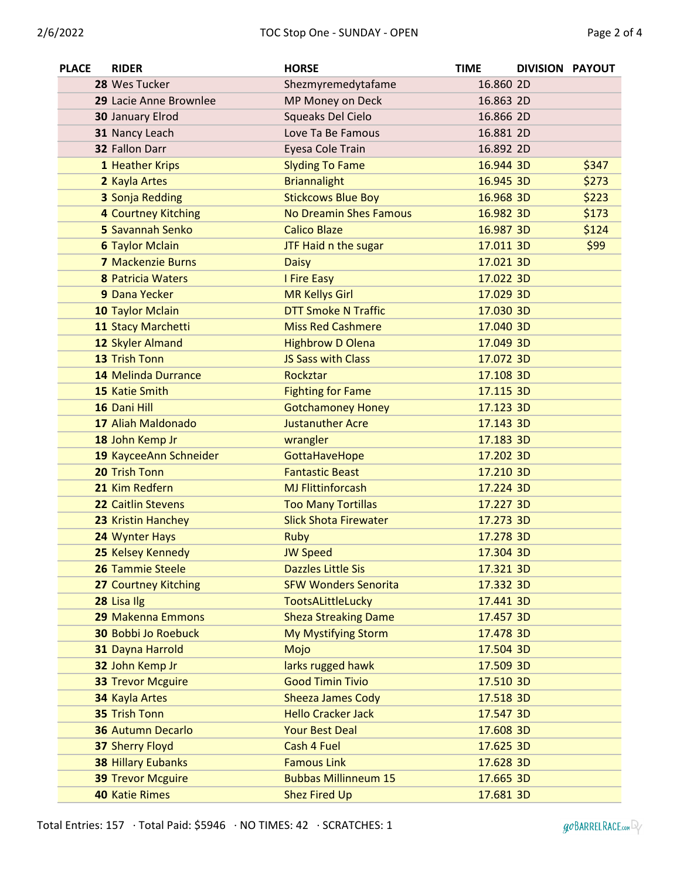| <b>PLACE</b> | <b>RIDER</b>               | <b>HORSE</b>                  | <b>TIME</b> | DIVISION PAYOUT |       |
|--------------|----------------------------|-------------------------------|-------------|-----------------|-------|
|              | 28 Wes Tucker              | Shezmyremedytafame            | 16.860 2D   |                 |       |
|              | 29 Lacie Anne Brownlee     | MP Money on Deck              | 16.863 2D   |                 |       |
|              | 30 January Elrod           | Squeaks Del Cielo             | 16.866 2D   |                 |       |
|              | 31 Nancy Leach             | Love Ta Be Famous             | 16.881 2D   |                 |       |
|              | 32 Fallon Darr             | Eyesa Cole Train              | 16.892 2D   |                 |       |
|              | 1 Heather Krips            | <b>Slyding To Fame</b>        | 16.944 3D   |                 | \$347 |
|              | 2 Kayla Artes              | <b>Briannalight</b>           | 16.945 3D   |                 | \$273 |
|              | 3 Sonja Redding            | <b>Stickcows Blue Boy</b>     | 16.968 3D   |                 | \$223 |
|              | 4 Courtney Kitching        | <b>No Dreamin Shes Famous</b> | 16.982 3D   |                 | \$173 |
|              | 5 Savannah Senko           | <b>Calico Blaze</b>           | 16.987 3D   |                 | \$124 |
|              | <b>6 Taylor Mclain</b>     | JTF Haid n the sugar          | 17.011 3D   |                 | \$99  |
|              | <b>7 Mackenzie Burns</b>   | <b>Daisy</b>                  | 17.021 3D   |                 |       |
|              | <b>8 Patricia Waters</b>   | I Fire Easy                   | 17.022 3D   |                 |       |
|              | 9 Dana Yecker              | <b>MR Kellys Girl</b>         | 17.029 3D   |                 |       |
|              | 10 Taylor Mclain           | <b>DTT Smoke N Traffic</b>    | 17.030 3D   |                 |       |
|              | 11 Stacy Marchetti         | <b>Miss Red Cashmere</b>      | 17.040 3D   |                 |       |
|              | 12 Skyler Almand           | <b>Highbrow D Olena</b>       | 17.049 3D   |                 |       |
|              | 13 Trish Tonn              | <b>JS Sass with Class</b>     | 17.072 3D   |                 |       |
|              | 14 Melinda Durrance        | Rockztar                      | 17.108 3D   |                 |       |
|              | 15 Katie Smith             | <b>Fighting for Fame</b>      | 17.115 3D   |                 |       |
|              | 16 Dani Hill               | <b>Gotchamoney Honey</b>      | 17.123 3D   |                 |       |
|              | 17 Aliah Maldonado         | <b>Justanuther Acre</b>       | 17.143 3D   |                 |       |
|              | 18 John Kemp Jr            | wrangler                      | 17.183 3D   |                 |       |
|              | 19 KayceeAnn Schneider     | GottaHaveHope                 | 17.202 3D   |                 |       |
|              | 20 Trish Tonn              | <b>Fantastic Beast</b>        | 17.210 3D   |                 |       |
|              | 21 Kim Redfern             | <b>MJ Flittinforcash</b>      | 17.224 3D   |                 |       |
|              | 22 Caitlin Stevens         | <b>Too Many Tortillas</b>     | 17.227 3D   |                 |       |
|              | 23 Kristin Hanchey         | <b>Slick Shota Firewater</b>  | 17.273 3D   |                 |       |
|              | 24 Wynter Hays             | <b>Ruby</b>                   | 17.278 3D   |                 |       |
|              | 25 Kelsey Kennedy          | <b>JW Speed</b>               | 17.304 3D   |                 |       |
|              | 26 Tammie Steele           | <b>Dazzles Little Sis</b>     | 17.321 3D   |                 |       |
|              | 27 Courtney Kitching       | <b>SFW Wonders Senorita</b>   | 17.332 3D   |                 |       |
|              | 28 Lisa Ilg                | <b>TootsALittleLucky</b>      | 17.441 3D   |                 |       |
|              | 29 Makenna Emmons          | <b>Sheza Streaking Dame</b>   | 17.457 3D   |                 |       |
|              | <b>30 Bobbi Jo Roebuck</b> | My Mystifying Storm           | 17.478 3D   |                 |       |
|              | 31 Dayna Harrold           | Mojo                          | 17.504 3D   |                 |       |
|              | 32 John Kemp Jr            | larks rugged hawk             | 17.509 3D   |                 |       |
|              | <b>33 Trevor Mcguire</b>   | <b>Good Timin Tivio</b>       | 17.510 3D   |                 |       |
|              | 34 Kayla Artes             | <b>Sheeza James Cody</b>      | 17.518 3D   |                 |       |
|              | 35 Trish Tonn              | <b>Hello Cracker Jack</b>     | 17.547 3D   |                 |       |
|              | <b>36 Autumn Decarlo</b>   | <b>Your Best Deal</b>         | 17.608 3D   |                 |       |
|              | <b>37 Sherry Floyd</b>     | Cash 4 Fuel                   | 17.625 3D   |                 |       |
|              | <b>38 Hillary Eubanks</b>  | <b>Famous Link</b>            | 17.628 3D   |                 |       |
|              | <b>39 Trevor Mcguire</b>   | <b>Bubbas Millinneum 15</b>   | 17.665 3D   |                 |       |
|              | <b>40 Katie Rimes</b>      | <b>Shez Fired Up</b>          | 17.681 3D   |                 |       |

Total Entries: 157 · Total Paid: \$5946 · NO TIMES: 42 · SCRATCHES: 1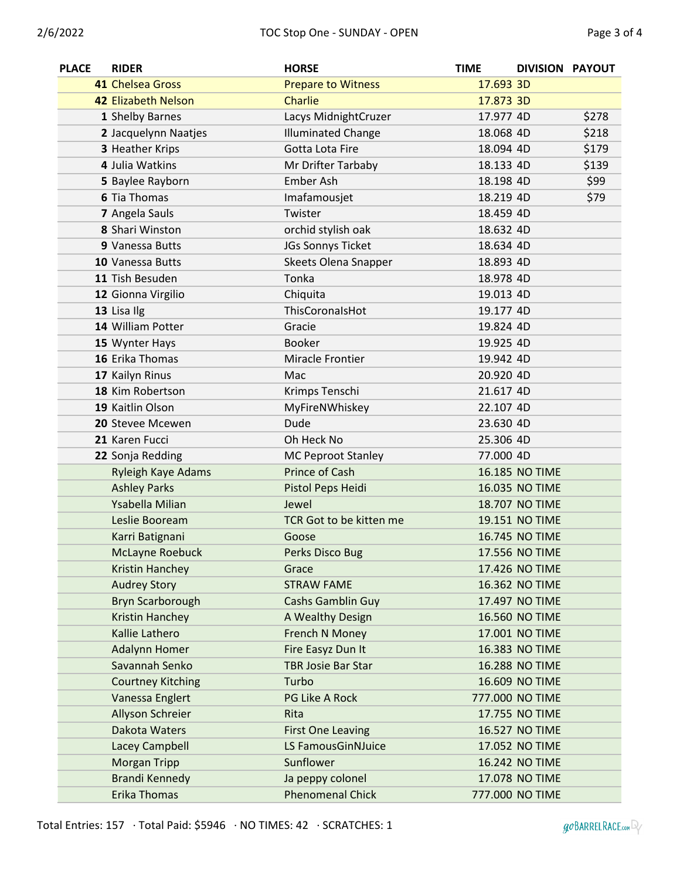| <b>PLACE</b> | <b>RIDER</b>             | <b>HORSE</b>              | <b>TIME</b> | DIVISION PAYOUT       |       |
|--------------|--------------------------|---------------------------|-------------|-----------------------|-------|
|              | 41 Chelsea Gross         | <b>Prepare to Witness</b> | 17.693 3D   |                       |       |
|              | 42 Elizabeth Nelson      | <b>Charlie</b>            | 17.873 3D   |                       |       |
|              | 1 Shelby Barnes          | Lacys MidnightCruzer      | 17.977 4D   |                       | \$278 |
|              | 2 Jacquelynn Naatjes     | <b>Illuminated Change</b> | 18.068 4D   |                       | \$218 |
|              | 3 Heather Krips          | Gotta Lota Fire           | 18.094 4D   |                       | \$179 |
|              | 4 Julia Watkins          | Mr Drifter Tarbaby        | 18.133 4D   |                       | \$139 |
|              | 5 Baylee Rayborn         | <b>Ember Ash</b>          | 18.198 4D   |                       | \$99  |
|              | <b>6 Tia Thomas</b>      | Imafamousjet              | 18.219 4D   |                       | \$79  |
|              | 7 Angela Sauls           | Twister                   | 18.459 4D   |                       |       |
|              | 8 Shari Winston          | orchid stylish oak        | 18.632 4D   |                       |       |
|              | 9 Vanessa Butts          | JGs Sonnys Ticket         | 18.634 4D   |                       |       |
|              | 10 Vanessa Butts         | Skeets Olena Snapper      | 18.893 4D   |                       |       |
|              | 11 Tish Besuden          | Tonka                     | 18.978 4D   |                       |       |
|              | 12 Gionna Virgilio       | Chiquita                  | 19.013 4D   |                       |       |
|              | 13 Lisa Ilg              | ThisCoronalsHot           | 19.177 4D   |                       |       |
|              | 14 William Potter        | Gracie                    | 19.824 4D   |                       |       |
|              | 15 Wynter Hays           | <b>Booker</b>             | 19.925 4D   |                       |       |
|              | 16 Erika Thomas          | <b>Miracle Frontier</b>   | 19.942 4D   |                       |       |
|              | 17 Kailyn Rinus          | Mac                       | 20.920 4D   |                       |       |
|              | 18 Kim Robertson         | Krimps Tenschi            | 21.617 4D   |                       |       |
|              | 19 Kaitlin Olson         | MyFireNWhiskey            | 22.107 4D   |                       |       |
|              | 20 Stevee Mcewen         | Dude                      | 23.630 4D   |                       |       |
|              | 21 Karen Fucci           | Oh Heck No                | 25.306 4D   |                       |       |
|              | 22 Sonja Redding         | <b>MC Peproot Stanley</b> | 77.000 4D   |                       |       |
|              | Ryleigh Kaye Adams       | Prince of Cash            |             | 16.185 NO TIME        |       |
|              | <b>Ashley Parks</b>      | Pistol Peps Heidi         |             | 16.035 NO TIME        |       |
|              | Ysabella Milian          | Jewel                     |             | 18.707 NO TIME        |       |
|              | Leslie Booream           | TCR Got to be kitten me   |             | <b>19.151 NO TIME</b> |       |
|              | Karri Batignani          | Goose                     |             | 16.745 NO TIME        |       |
|              | <b>McLayne Roebuck</b>   | Perks Disco Bug           |             | 17.556 NO TIME        |       |
|              | <b>Kristin Hanchey</b>   | Grace                     |             | 17.426 NO TIME        |       |
|              | <b>Audrey Story</b>      | <b>STRAW FAME</b>         |             | 16.362 NO TIME        |       |
|              | <b>Bryn Scarborough</b>  | <b>Cashs Gamblin Guy</b>  |             | 17.497 NO TIME        |       |
|              | Kristin Hanchey          | A Wealthy Design          |             | 16.560 NO TIME        |       |
|              | Kallie Lathero           | French N Money            |             | 17.001 NO TIME        |       |
|              | <b>Adalynn Homer</b>     | Fire Easyz Dun It         |             | 16.383 NO TIME        |       |
|              | Savannah Senko           | <b>TBR Josie Bar Star</b> |             | 16.288 NO TIME        |       |
|              | <b>Courtney Kitching</b> | Turbo                     |             | 16.609 NO TIME        |       |
|              | Vanessa Englert          | PG Like A Rock            |             | 777.000 NO TIME       |       |
|              | Allyson Schreier         | Rita                      |             | 17.755 NO TIME        |       |
|              | Dakota Waters            | <b>First One Leaving</b>  |             | 16.527 NO TIME        |       |
|              | Lacey Campbell           | LS FamousGinNJuice        |             | 17.052 NO TIME        |       |
|              | <b>Morgan Tripp</b>      | Sunflower                 |             | 16.242 NO TIME        |       |
|              | <b>Brandi Kennedy</b>    | Ja peppy colonel          |             | 17.078 NO TIME        |       |
|              | <b>Erika Thomas</b>      | <b>Phenomenal Chick</b>   |             | 777.000 NO TIME       |       |